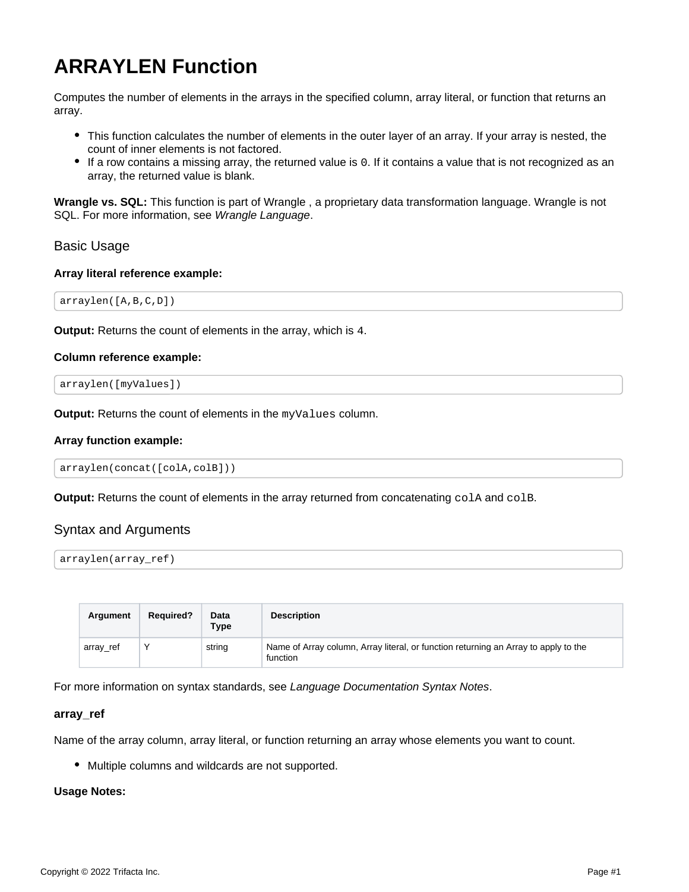# **ARRAYLEN Function**

Computes the number of elements in the arrays in the specified column, array literal, or function that returns an array.

- This function calculates the number of elements in the outer layer of an array. If your array is nested, the count of inner elements is not factored.
- If a row contains a missing array, the returned value is 0. If it contains a value that is not recognized as an array, the returned value is blank.

**Wrangle vs. SQL:** This function is part of Wrangle , a proprietary data transformation language. Wrangle is not SQL. For more information, see [Wrangle Language](https://docs.trifacta.com/display/DP/Wrangle+Language).

# Basic Usage

## **Array literal reference example:**

arraylen([A,B,C,D])

**Output:** Returns the count of elements in the array, which is 4.

#### **Column reference example:**

```
arraylen([myValues])
```
**Output:** Returns the count of elements in the myValues column.

#### **Array function example:**

```
arraylen(concat([colA,colB]))
```
**Output:** Returns the count of elements in the array returned from concatenating colA and colB.

# Syntax and Arguments

```
arraylen(array_ref)
```

| Argument  | <b>Required?</b> | Data<br><b>Type</b> | <b>Description</b>                                                                              |
|-----------|------------------|---------------------|-------------------------------------------------------------------------------------------------|
| array_ref | $\checkmark$     | string              | Name of Array column, Array literal, or function returning an Array to apply to the<br>function |

For more information on syntax standards, see [Language Documentation Syntax Notes](https://docs.trifacta.com/display/DP/Language+Documentation+Syntax+Notes).

## **array\_ref**

Name of the array column, array literal, or function returning an array whose elements you want to count.

Multiple columns and wildcards are not supported.

#### **Usage Notes:**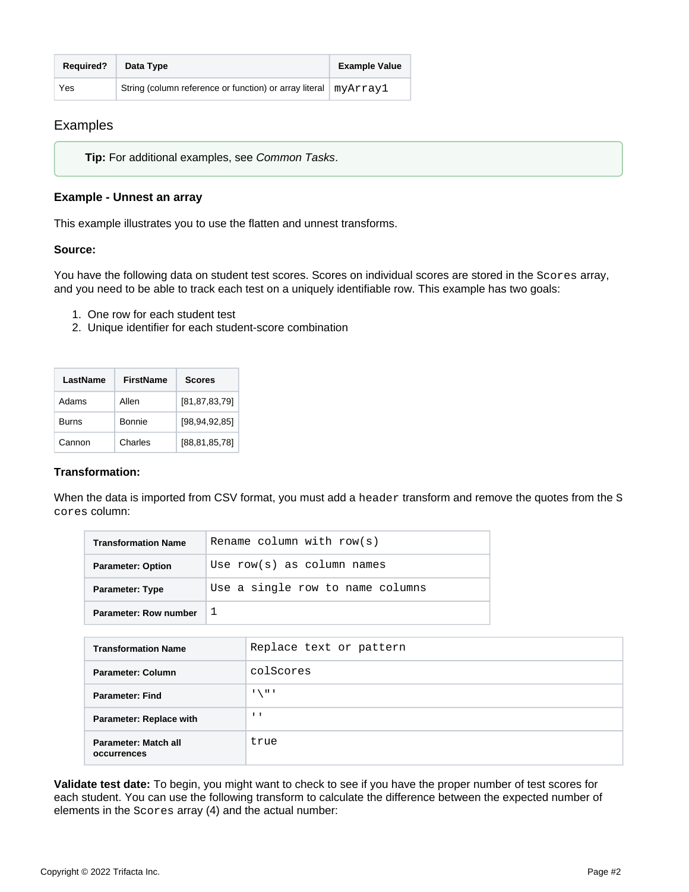| <b>Required?</b> | Data Type                                                         | <b>Example Value</b> |
|------------------|-------------------------------------------------------------------|----------------------|
| Yes              | String (column reference or function) or array literal   myArray1 |                      |

# Examples

**Tip:** For additional examples, see [Common Tasks](https://docs.trifacta.com/display/DP/Common+Tasks).

# **Example - Unnest an array**

This example illustrates you to use the flatten and unnest transforms.

## **Source:**

You have the following data on student test scores. Scores on individual scores are stored in the Scores array, and you need to be able to track each test on a uniquely identifiable row. This example has two goals:

- 1. One row for each student test
- 2. Unique identifier for each student-score combination

| LastName     | <b>FirstName</b> | <b>Scores</b>    |
|--------------|------------------|------------------|
| Adams        | Allen            | [81, 87, 83, 79] |
| <b>Burns</b> | Bonnie           | [98, 94, 92, 85] |
| Cannon       | Charles          | [88,81,85,78]    |

# **Transformation:**

When the data is imported from CSV format, you must add a header transform and remove the quotes from the S cores column:

| <b>Transformation Name</b> | Rename column with row(s)        |
|----------------------------|----------------------------------|
| <b>Parameter: Option</b>   | Use $row(s)$ as column names     |
| <b>Parameter: Type</b>     | Use a single row to name columns |
| Parameter: Row number      |                                  |

| <b>Transformation Name</b>          | Replace text or pattern   |
|-------------------------------------|---------------------------|
| Parameter: Column                   | colScores                 |
| <b>Parameter: Find</b>              | $\mathbf{H}$<br>$\lambda$ |
| <b>Parameter: Replace with</b>      | $\blacksquare$            |
| Parameter: Match all<br>occurrences | true                      |

**Validate test date:** To begin, you might want to check to see if you have the proper number of test scores for each student. You can use the following transform to calculate the difference between the expected number of elements in the Scores array (4) and the actual number: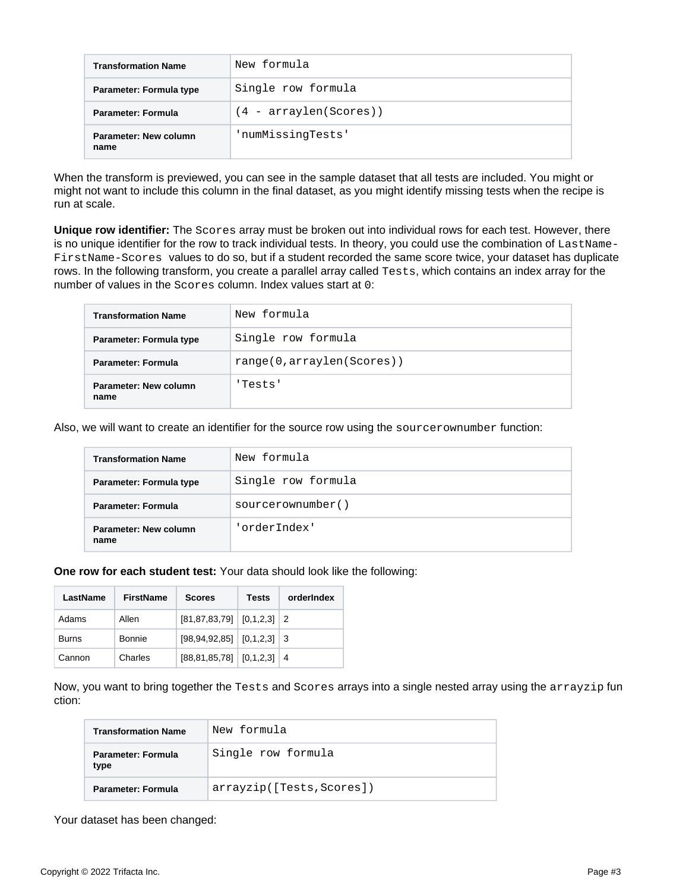| <b>Transformation Name</b>    | New formula              |
|-------------------------------|--------------------------|
| Parameter: Formula type       | Single row formula       |
| <b>Parameter: Formula</b>     | $(4 - arraylen(Scores))$ |
| Parameter: New column<br>name | 'numMissingTests'        |

When the transform is previewed, you can see in the sample dataset that all tests are included. You might or might not want to include this column in the final dataset, as you might identify missing tests when the recipe is run at scale.

**Unique row identifier:** The Scores array must be broken out into individual rows for each test. However, there is no unique identifier for the row to track individual tests. In theory, you could use the combination of LastName-FirstName-Scores values to do so, but if a student recorded the same score twice, your dataset has duplicate rows. In the following transform, you create a parallel array called Tests, which contains an index array for the number of values in the Scores column. Index values start at 0:

| <b>Transformation Name</b>    | New formula                |
|-------------------------------|----------------------------|
| Parameter: Formula type       | Single row formula         |
| Parameter: Formula            | range(0, arraylen(Scores)) |
| Parameter: New column<br>name | 'Tests'                    |

Also, we will want to create an identifier for the source row using the sourcerownumber function:

| <b>Transformation Name</b>    | New formula        |
|-------------------------------|--------------------|
| Parameter: Formula type       | Single row formula |
| <b>Parameter: Formula</b>     | sourcerownumber()  |
| Parameter: New column<br>name | 'orderIndex'       |

#### **One row for each student test:** Your data should look like the following:

| LastName | <b>FirstName</b> | <b>Scores</b>                       |  | orderIndex |
|----------|------------------|-------------------------------------|--|------------|
| Adams    | Allen            | $[81, 87, 83, 79]$ $[0, 1, 2, 3]$ 2 |  |            |
| Burns    | Bonnie           | $[98, 94, 92, 85]$ $[0, 1, 2, 3]$ 3 |  |            |
| Cannon   | Charles          | $[88, 81, 85, 78]$ $[0, 1, 2, 3]$ 4 |  |            |

Now, you want to bring together the Tests and Scores arrays into a single nested array using the arrayzip fun ction:

| <b>Transformation Name</b> | New formula               |
|----------------------------|---------------------------|
| Parameter: Formula<br>type | Single row formula        |
| Parameter: Formula         | arrayzip([Tests, Scores]) |

Your dataset has been changed: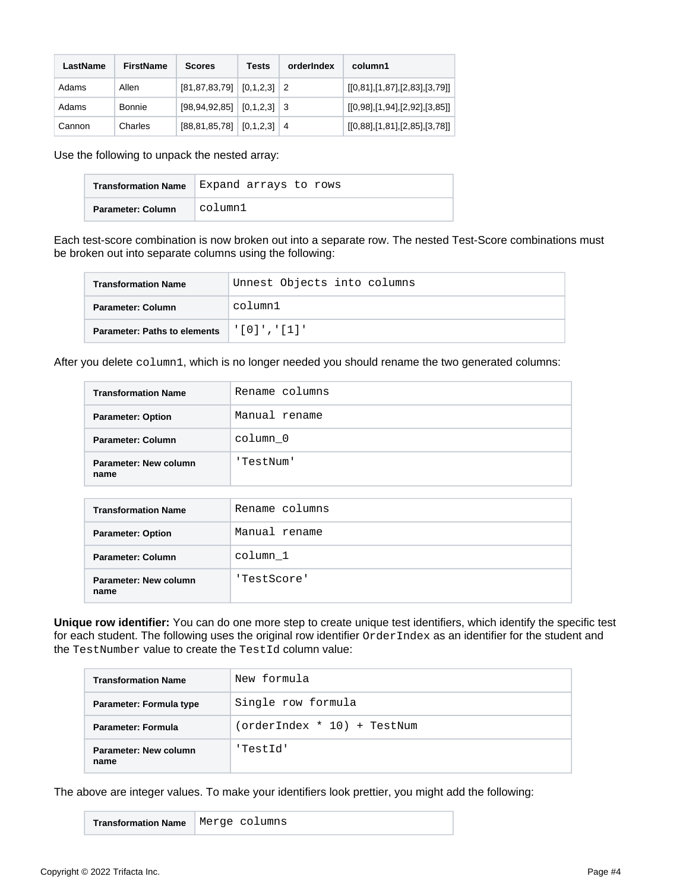| LastName | FirstName | <b>Scores</b>                       | Tests | orderIndex | column1                       |
|----------|-----------|-------------------------------------|-------|------------|-------------------------------|
| Adams    | Allen     | $[81, 87, 83, 79]$ $[0, 1, 2, 3]$ 2 |       |            | [[0,81],[1,87],[2,83],[3,79]] |
| Adams    | Bonnie    | $[98, 94, 92, 85]$ $[0, 1, 2, 3]$ 3 |       |            | [[0,98],[1,94],[2,92],[3,85]] |
| Cannon   | Charles   | $[88, 81, 85, 78]$ $[0, 1, 2, 3]$ 4 |       |            | [[0,88],[1,81],[2,85],[3,78]] |

Use the following to unpack the nested array:

| <b>Transformation Name</b> | Expand arrays to rows |
|----------------------------|-----------------------|
| Parameter: Column          | column1               |

Each test-score combination is now broken out into a separate row. The nested Test-Score combinations must be broken out into separate columns using the following:

| <b>Transformation Name</b>          | Unnest Objects into columns |
|-------------------------------------|-----------------------------|
| Parameter: Column                   | column1                     |
| <b>Parameter: Paths to elements</b> | '   0   ' , '   1   '       |

After you delete column1, which is no longer needed you should rename the two generated columns:

| <b>Transformation Name</b>    | Rename columns |  |  |
|-------------------------------|----------------|--|--|
| <b>Parameter: Option</b>      | Manual rename  |  |  |
| Parameter: Column             | column 0       |  |  |
| Parameter: New column<br>name | 'TestNum'      |  |  |
|                               |                |  |  |
| <b>Transformation Name</b>    | Rename columns |  |  |
|                               |                |  |  |

| <b>Parameter: Option</b>      | Manual rename |  |  |
|-------------------------------|---------------|--|--|
| <b>Parameter: Column</b>      | column 1      |  |  |
| Parameter: New column<br>name | 'TestScore'   |  |  |

**Unique row identifier:** You can do one more step to create unique test identifiers, which identify the specific test for each student. The following uses the original row identifier OrderIndex as an identifier for the student and the TestNumber value to create the TestId column value:

| <b>Transformation Name</b>    | New formula                 |  |  |
|-------------------------------|-----------------------------|--|--|
| Parameter: Formula type       | Single row formula          |  |  |
| Parameter: Formula            | (orderIndex * 10) + TestNum |  |  |
| Parameter: New column<br>name | 'TestId'                    |  |  |

The above are integer values. To make your identifiers look prettier, you might add the following:

**Transformation Name** Merge columns